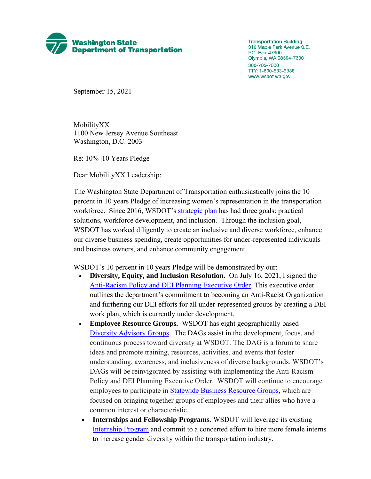

**Transportation Building** 310 Maple Park Avenue S.E. P.O. Box 47300 Olympia, WA 98504-7300 360-705-7000 TTY: 1-800-833-6388 www.wsdot.wa.gov

September 15, 2021

MobilityXX 1100 New Jersey Avenue Southeast Washington, D.C. 2003

Re: 10% |10 Years Pledge

Dear MobilityXX Leadership:

The Washington State Department of Transportation enthusiastically joins the 10 percent in 10 years Pledge of increasing women's representation in the transportation workforce. Since 2016, WSDOT's [strategic plan](https://wsdot.wa.gov/about/secretary/strategic-plan/dashboard/default.htm) has had three goals: practical solutions, workforce development, and inclusion. Through the inclusion goal, WSDOT has worked diligently to create an inclusive and diverse workforce, enhance our diverse business spending, create opportunities for under-represented individuals and business owners, and enhance community engagement.

WSDOT's 10 percent in 10 years Pledge will be demonstrated by our:

- **Diversity, Equity, and Inclusion Resolution.** On July 16, 2021, I signed the [Anti-Racism Policy and DEI Planning Executive Order.](https://wsdot.wa.gov/sites/default/files/2021/07/27/Executive-Order-1119.pdf) This executive order outlines the department's commitment to becoming an Anti-Racist Organization and furthering our DEI efforts for all under-represented groups by creating a DEI work plan, which is currently under development.
- **Employee Resource Groups.** WSDOT has eight geographically based [Diversity Advisory Groups.](https://www.wsdot.wa.gov/about/secretary/strategic-plan/dashboard/inclusion/diverse-workforce.htm#Diversity-Advisory-Group-participation-section) The DAGs assist in the development, focus, and continuous process toward diversity at WSDOT. The DAG is a forum to share ideas and promote training, resources, activities, and events that foster understanding, awareness, and inclusiveness of diverse backgrounds. WSDOT's DAGs will be reinvigorated by assisting with implementing the Anti-Racism Policy and DEI Planning Executive Order. WSDOT will continue to encourage employees to participate in [Statewide Business Resource Groups,](https://ofm.wa.gov/state-human-resources/workforce-diversity-equity-and-inclusion/statewide-business-resource-groups) which are focused on bringing together groups of employees and their allies who have a common interest or characteristic.
- **Internships and Fellowship Programs**. WSDOT will leverage its existing [Internship Program](https://wsdot.wa.gov/Employment/CareerPaths/default.htm) and commit to a concerted effort to hire more female interns to increase gender diversity within the transportation industry.